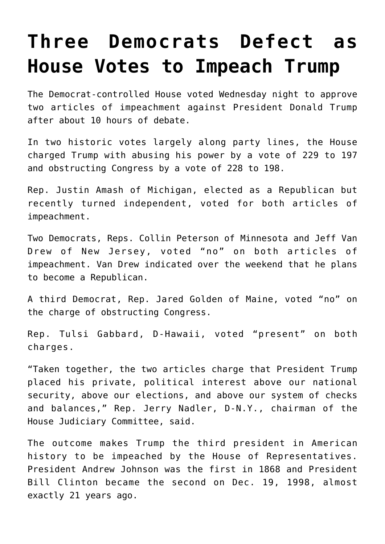## **[Three Democrats Defect as](https://intellectualtakeout.org/2019/12/three-democrats-defect-as-house-votes-to-impeach-trump/) [House Votes to Impeach Trump](https://intellectualtakeout.org/2019/12/three-democrats-defect-as-house-votes-to-impeach-trump/)**

The Democrat-controlled House voted Wednesday night to approve two articles of impeachment against President Donald Trump after about 10 hours of debate.

In two historic votes largely along party lines, the House charged Trump with abusing his power by a vote of 229 to 197 and obstructing Congress by a vote of 228 to 198.

Rep. Justin Amash of Michigan, elected as a Republican but recently turned independent, voted for both articles of impeachment.

Two Democrats, Reps. Collin Peterson of Minnesota and Jeff Van Drew of New Jersey, voted "no" on both articles of impeachment. Van Drew indicated over the weekend that he plans to become a Republican.

A third Democrat, Rep. Jared Golden of Maine, voted "no" on the charge of obstructing Congress.

Rep. Tulsi Gabbard, D-Hawaii, voted "present" on both charges.

"Taken together, the two articles charge that President Trump placed his private, political interest above our national security, above our elections, and above our system of checks and balances," Rep. Jerry Nadler, D-N.Y., chairman of the House Judiciary Committee, said.

The outcome makes Trump the third president in American history to be impeached by the House of Representatives. President Andrew Johnson was the first in 1868 and President Bill Clinton became the second on Dec. 19, 1998, almost exactly 21 years ago.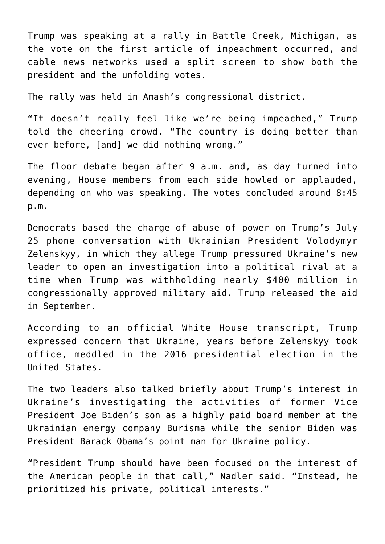Trump was speaking at a rally in Battle Creek, Michigan, as the vote on the first article of impeachment occurred, and cable news networks used a split screen to show both the president and the unfolding votes.

The rally was held in Amash's congressional district.

"It doesn't really feel like we're being impeached," Trump told the cheering crowd. "The country is doing better than ever before, [and] we did nothing wrong."

The floor debate began after 9 a.m. and, as day turned into evening, House members from each side howled or applauded, depending on who was speaking. The votes concluded around 8:45 p.m.

Democrats based the charge of abuse of power on Trump's July 25 phone conversation with Ukrainian President Volodymyr Zelenskyy, in which they allege Trump pressured Ukraine's new leader to open an investigation into a political rival at a time when Trump was withholding nearly \$400 million in congressionally approved military aid. Trump released the aid in September.

According to an official White House transcript, Trump expressed concern that Ukraine, years before Zelenskyy took office, meddled in the 2016 presidential election in the United States.

The two leaders also talked briefly about Trump's interest in Ukraine's investigating the activities of former Vice President Joe Biden's son as a highly paid board member at the Ukrainian energy company Burisma while the senior Biden was President Barack Obama's point man for Ukraine policy.

"President Trump should have been focused on the interest of the American people in that call," Nadler said. "Instead, he prioritized his private, political interests."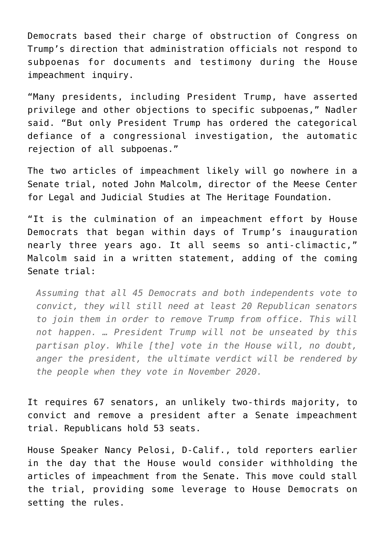Democrats based their charge of obstruction of Congress on Trump's direction that administration officials not respond to subpoenas for documents and testimony during the House impeachment inquiry.

"Many presidents, including President Trump, have asserted privilege and other objections to specific subpoenas," Nadler said. "But only President Trump has ordered the categorical defiance of a congressional investigation, the automatic rejection of all subpoenas."

The two articles of impeachment likely will go nowhere in a Senate trial, noted John Malcolm, director of the Meese Center for Legal and Judicial Studies at The Heritage Foundation.

"It is the culmination of an impeachment effort by House Democrats that began within days of Trump's inauguration nearly three years ago. It all seems so anti-climactic," Malcolm said in a written statement, adding of the coming Senate trial:

*Assuming that all 45 Democrats and both independents vote to convict, they will still need at least 20 Republican senators to join them in order to remove Trump from office. This will not happen. … President Trump will not be unseated by this partisan ploy. While [the] vote in the House will, no doubt, anger the president, the ultimate verdict will be rendered by the people when they vote in November 2020.*

It requires 67 senators, an unlikely two-thirds majority, to convict and remove a president after a Senate impeachment trial. Republicans hold 53 seats.

House Speaker Nancy Pelosi, D-Calif., told reporters earlier in the day that the House would consider withholding the articles of impeachment from the Senate. This move could stall the trial, providing some leverage to House Democrats on setting the rules.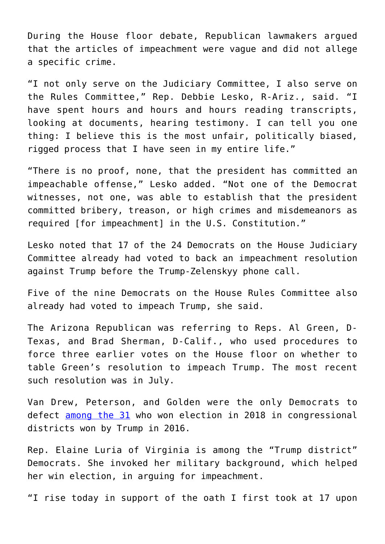During the House floor debate, Republican lawmakers argued that the articles of impeachment were vague and did not allege a specific crime.

"I not only serve on the Judiciary Committee, I also serve on the Rules Committee," Rep. Debbie Lesko, R-Ariz., said. "I have spent hours and hours and hours reading transcripts, looking at documents, hearing testimony. I can tell you one thing: I believe this is the most unfair, politically biased, rigged process that I have seen in my entire life."

"There is no proof, none, that the president has committed an impeachable offense," Lesko added. "Not one of the Democrat witnesses, not one, was able to establish that the president committed bribery, treason, or high crimes and misdemeanors as required [for impeachment] in the U.S. Constitution."

Lesko noted that 17 of the 24 Democrats on the House Judiciary Committee already had voted to back an impeachment resolution against Trump before the Trump-Zelenskyy phone call.

Five of the nine Democrats on the House Rules Committee also already had voted to impeach Trump, she said.

The Arizona Republican was referring to Reps. Al Green, D-Texas, and Brad Sherman, D-Calif., who used procedures to force three earlier votes on the House floor on whether to table Green's resolution to impeach Trump. The most recent such resolution was in July.

Van Drew, Peterson, and Golden were the only Democrats to defect **[among the 31](https://thehill.com/homenews/house/475207-how-the-31-democrats-in-trump-districts-voted-on-impeachment)** who won election in 2018 in congressional districts won by Trump in 2016.

Rep. Elaine Luria of Virginia is among the "Trump district" Democrats. She invoked her military background, which helped her win election, in arguing for impeachment.

"I rise today in support of the oath I first took at 17 upon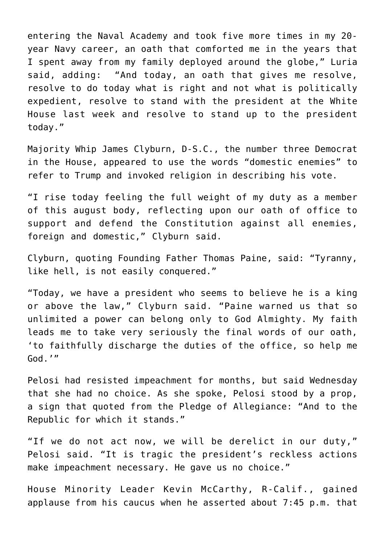entering the Naval Academy and took five more times in my 20 year Navy career, an oath that comforted me in the years that I spent away from my family deployed around the globe," Luria said, adding: "And today, an oath that gives me resolve, resolve to do today what is right and not what is politically expedient, resolve to stand with the president at the White House last week and resolve to stand up to the president today."

Majority Whip James Clyburn, D-S.C., the number three Democrat in the House, appeared to use the words "domestic enemies" to refer to Trump and invoked religion in describing his vote.

"I rise today feeling the full weight of my duty as a member of this august body, reflecting upon our oath of office to support and defend the Constitution against all enemies, foreign and domestic," Clyburn said.

Clyburn, quoting Founding Father Thomas Paine, said: "Tyranny, like hell, is not easily conquered."

"Today, we have a president who seems to believe he is a king or above the law," Clyburn said. "Paine warned us that so unlimited a power can belong only to God Almighty. My faith leads me to take very seriously the final words of our oath, 'to faithfully discharge the duties of the office, so help me God.'"

Pelosi had resisted impeachment for months, but said Wednesday that she had no choice. As she spoke, Pelosi stood by a prop, a sign that quoted from the Pledge of Allegiance: "And to the Republic for which it stands."

"If we do not act now, we will be derelict in our duty," Pelosi said. "It is tragic the president's reckless actions make impeachment necessary. He gave us no choice."

House Minority Leader Kevin McCarthy, R-Calif., gained applause from his caucus when he asserted about 7:45 p.m. that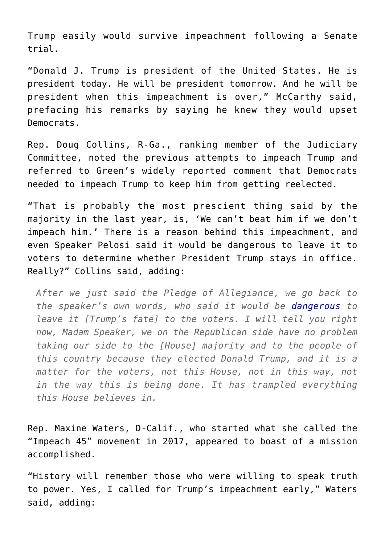Trump easily would survive impeachment following a Senate trial.

"Donald J. Trump is president of the United States. He is president today. He will be president tomorrow. And he will be president when this impeachment is over," McCarthy said, prefacing his remarks by saying he knew they would upset Democrats.

Rep. Doug Collins, R-Ga., ranking member of the Judiciary Committee, noted the previous attempts to impeach Trump and referred to Green's widely reported comment that Democrats needed to impeach Trump to keep him from getting reelected.

"That is probably the most prescient thing said by the majority in the last year, is, 'We can't beat him if we don't impeach him.' There is a reason behind this impeachment, and even Speaker Pelosi said it would be dangerous to leave it to voters to determine whether President Trump stays in office. Really?" Collins said, adding:

*After we just said the Pledge of Allegiance, we go back to the speaker's own words, who said it would be [dangerous](https://www.washingtontimes.com/news/2019/nov/19/nancy-pelosi-its-dangerous-position-to-take-a-let-/) to leave it [Trump's fate] to the voters. I will tell you right now, Madam Speaker, we on the Republican side have no problem taking our side to the [House] majority and to the people of this country because they elected Donald Trump, and it is a matter for the voters, not this House, not in this way, not in the way this is being done. It has trampled everything this House believes in.*

Rep. Maxine Waters, D-Calif., who started what she called the "Impeach 45" movement in 2017, appeared to boast of a mission accomplished.

"History will remember those who were willing to speak truth to power. Yes, I called for Trump's impeachment early," Waters said, adding: